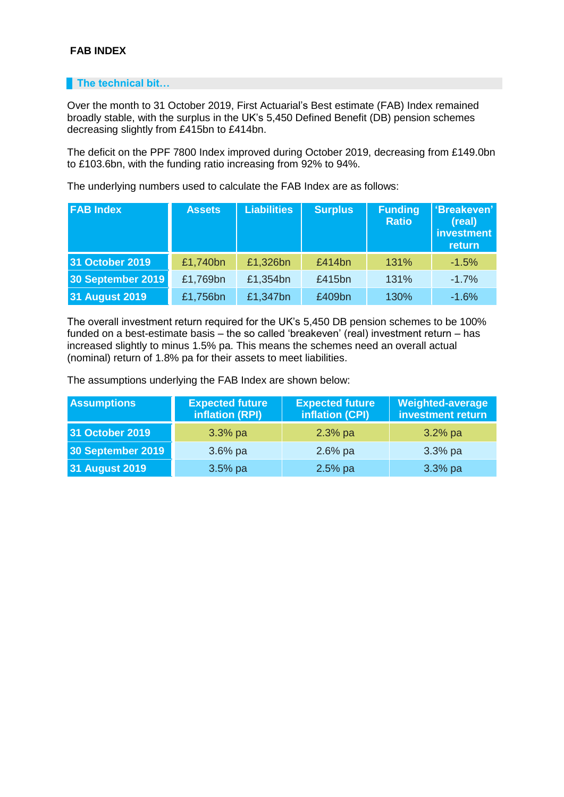## **FAB INDEX**

## **The technical bit...**

Over the month to 31 October 2019, First Actuarial's Best estimate (FAB) Index remained broadly stable, with the surplus in the UK's 5,450 Defined Benefit (DB) pension schemes decreasing slightly from £415bn to £414bn.

The deficit on the PPF 7800 Index improved during October 2019, decreasing from £149.0bn to £103.6bn, with the funding ratio increasing from 92% to 94%.

The underlying numbers used to calculate the FAB Index are as follows:

| <b>FAB Index</b>      | <b>Assets</b> | <b>Liabilities</b> | <b>Surplus</b> | <b>Funding</b><br><b>Ratio</b> | 'Breakeven'<br>(real)<br>investment<br>return |
|-----------------------|---------------|--------------------|----------------|--------------------------------|-----------------------------------------------|
| 31 October 2019       | £1,740bn      | £1,326bn           | £414bn         | 131%                           | $-1.5%$                                       |
| 30 September 2019     | £1,769bn      | £1,354bn           | £415bn         | 131%                           | $-1.7%$                                       |
| <b>31 August 2019</b> | £1,756bn      | £1,347bn           | £409bn         | 130%                           | $-1.6%$                                       |

The overall investment return required for the UK's 5,450 DB pension schemes to be 100% funded on a best-estimate basis – the so called 'breakeven' (real) investment return – has increased slightly to minus 1.5% pa. This means the schemes need an overall actual (nominal) return of 1.8% pa for their assets to meet liabilities.

The assumptions underlying the FAB Index are shown below:

| <b>Assumptions</b>    | <b>Expected future</b><br>inflation (RPI) | <b>Expected future</b><br>inflation (CPI) | Weighted-average<br>investment return |
|-----------------------|-------------------------------------------|-------------------------------------------|---------------------------------------|
| 31 October 2019       | $3.3%$ pa                                 | $2.3%$ pa                                 | $3.2%$ pa                             |
| 30 September 2019     | $3.6%$ pa                                 | $2.6%$ pa                                 | $3.3%$ pa                             |
| <b>31 August 2019</b> | $3.5%$ pa                                 | $2.5%$ pa                                 | $3.3%$ pa                             |